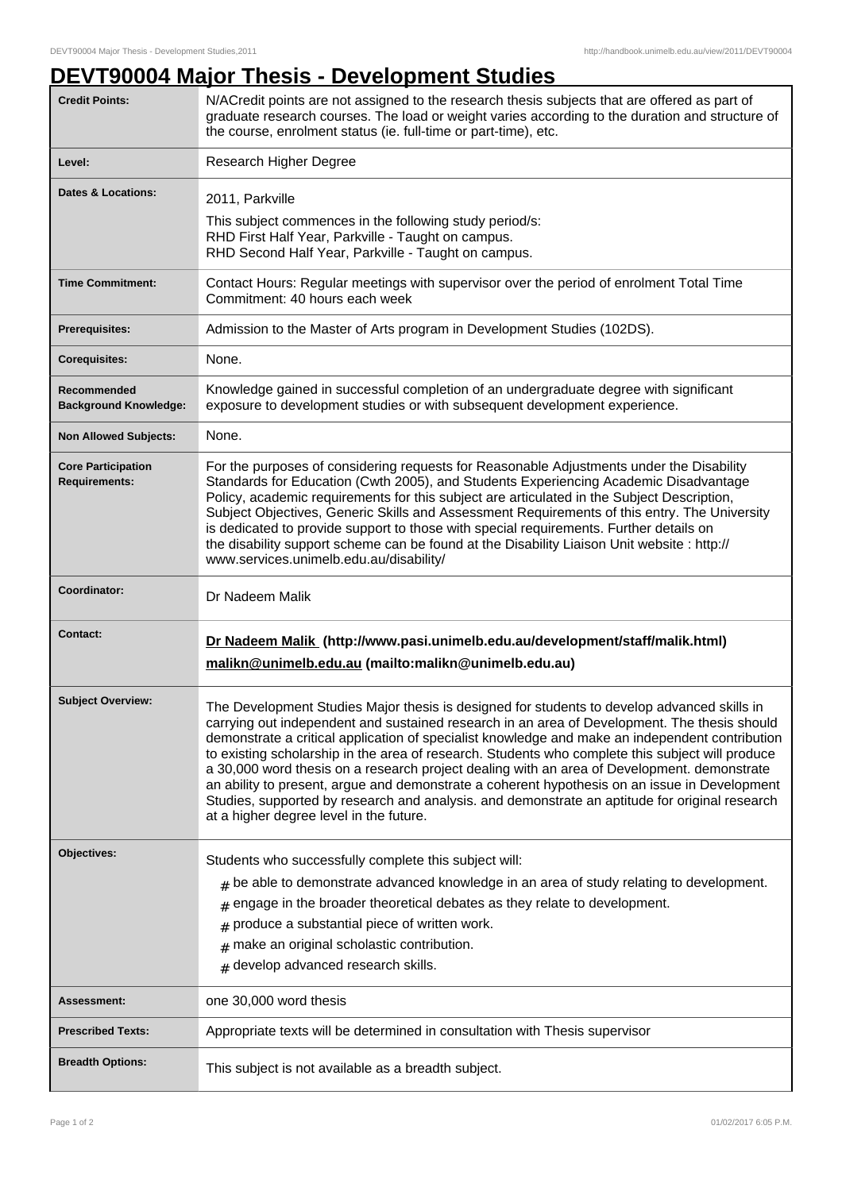## **DEVT90004 Major Thesis - Development Studies**

| <b>Credit Points:</b>                             | N/ACredit points are not assigned to the research thesis subjects that are offered as part of<br>graduate research courses. The load or weight varies according to the duration and structure of<br>the course, enrolment status (ie. full-time or part-time), etc.                                                                                                                                                                                                                                                                                                                                                                                                                                                                             |
|---------------------------------------------------|-------------------------------------------------------------------------------------------------------------------------------------------------------------------------------------------------------------------------------------------------------------------------------------------------------------------------------------------------------------------------------------------------------------------------------------------------------------------------------------------------------------------------------------------------------------------------------------------------------------------------------------------------------------------------------------------------------------------------------------------------|
| Level:                                            | Research Higher Degree                                                                                                                                                                                                                                                                                                                                                                                                                                                                                                                                                                                                                                                                                                                          |
| <b>Dates &amp; Locations:</b>                     | 2011, Parkville<br>This subject commences in the following study period/s:<br>RHD First Half Year, Parkville - Taught on campus.<br>RHD Second Half Year, Parkville - Taught on campus.                                                                                                                                                                                                                                                                                                                                                                                                                                                                                                                                                         |
| <b>Time Commitment:</b>                           | Contact Hours: Regular meetings with supervisor over the period of enrolment Total Time<br>Commitment: 40 hours each week                                                                                                                                                                                                                                                                                                                                                                                                                                                                                                                                                                                                                       |
| Prerequisites:                                    | Admission to the Master of Arts program in Development Studies (102DS).                                                                                                                                                                                                                                                                                                                                                                                                                                                                                                                                                                                                                                                                         |
| <b>Corequisites:</b>                              | None.                                                                                                                                                                                                                                                                                                                                                                                                                                                                                                                                                                                                                                                                                                                                           |
| Recommended<br><b>Background Knowledge:</b>       | Knowledge gained in successful completion of an undergraduate degree with significant<br>exposure to development studies or with subsequent development experience.                                                                                                                                                                                                                                                                                                                                                                                                                                                                                                                                                                             |
| <b>Non Allowed Subjects:</b>                      | None.                                                                                                                                                                                                                                                                                                                                                                                                                                                                                                                                                                                                                                                                                                                                           |
| <b>Core Participation</b><br><b>Requirements:</b> | For the purposes of considering requests for Reasonable Adjustments under the Disability<br>Standards for Education (Cwth 2005), and Students Experiencing Academic Disadvantage<br>Policy, academic requirements for this subject are articulated in the Subject Description,<br>Subject Objectives, Generic Skills and Assessment Requirements of this entry. The University<br>is dedicated to provide support to those with special requirements. Further details on<br>the disability support scheme can be found at the Disability Liaison Unit website : http://<br>www.services.unimelb.edu.au/disability/                                                                                                                              |
| Coordinator:                                      | Dr Nadeem Malik                                                                                                                                                                                                                                                                                                                                                                                                                                                                                                                                                                                                                                                                                                                                 |
| Contact:                                          | Dr Nadeem Malik (http://www.pasi.unimelb.edu.au/development/staff/malik.html)<br>malikn@unimelb.edu.au (mailto:malikn@unimelb.edu.au)                                                                                                                                                                                                                                                                                                                                                                                                                                                                                                                                                                                                           |
| <b>Subject Overview:</b>                          | The Development Studies Major thesis is designed for students to develop advanced skills in<br>carrying out independent and sustained research in an area of Development. The thesis should<br>demonstrate a critical application of specialist knowledge and make an independent contribution<br>to existing scholarship in the area of research. Students who complete this subject will produce<br>a 30,000 word thesis on a research project dealing with an area of Development. demonstrate<br>an ability to present, argue and demonstrate a coherent hypothesis on an issue in Development<br>Studies, supported by research and analysis. and demonstrate an aptitude for original research<br>at a higher degree level in the future. |
| Objectives:                                       | Students who successfully complete this subject will:<br>$#$ be able to demonstrate advanced knowledge in an area of study relating to development.<br>engage in the broader theoretical debates as they relate to development.<br>#<br>produce a substantial piece of written work.<br>#<br>make an original scholastic contribution.<br>#<br>$#$ develop advanced research skills.                                                                                                                                                                                                                                                                                                                                                            |
| Assessment:                                       | one 30,000 word thesis                                                                                                                                                                                                                                                                                                                                                                                                                                                                                                                                                                                                                                                                                                                          |
| <b>Prescribed Texts:</b>                          | Appropriate texts will be determined in consultation with Thesis supervisor                                                                                                                                                                                                                                                                                                                                                                                                                                                                                                                                                                                                                                                                     |
| <b>Breadth Options:</b>                           | This subject is not available as a breadth subject.                                                                                                                                                                                                                                                                                                                                                                                                                                                                                                                                                                                                                                                                                             |